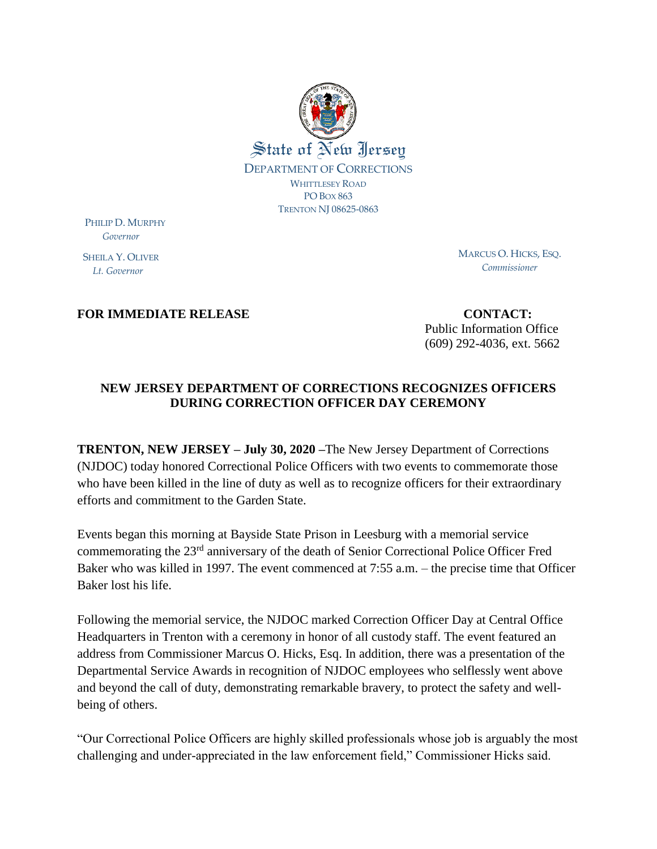

PHILIP D. MURPHY  *Governor*

SHEILA Y. OLIVER  *Lt. Governor*

MARCUS O. HICKS, ESQ. *Commissioner*

## **FOR IMMEDIATE RELEASE CONTACT:**

Public Information Office (609) 292-4036, ext. 5662

## **NEW JERSEY DEPARTMENT OF CORRECTIONS RECOGNIZES OFFICERS DURING CORRECTION OFFICER DAY CEREMONY**

**TRENTON, NEW JERSEY – July 30, 2020 –**The New Jersey Department of Corrections (NJDOC) today honored Correctional Police Officers with two events to commemorate those who have been killed in the line of duty as well as to recognize officers for their extraordinary efforts and commitment to the Garden State.

Events began this morning at Bayside State Prison in Leesburg with a memorial service commemorating the 23rd anniversary of the death of Senior Correctional Police Officer Fred Baker who was killed in 1997. The event commenced at 7:55 a.m. – the precise time that Officer Baker lost his life.

Following the memorial service, the NJDOC marked Correction Officer Day at Central Office Headquarters in Trenton with a ceremony in honor of all custody staff. The event featured an address from Commissioner Marcus O. Hicks, Esq. In addition, there was a presentation of the Departmental Service Awards in recognition of NJDOC employees who selflessly went above and beyond the call of duty, demonstrating remarkable bravery, to protect the safety and wellbeing of others.

"Our Correctional Police Officers are highly skilled professionals whose job is arguably the most challenging and under-appreciated in the law enforcement field," Commissioner Hicks said.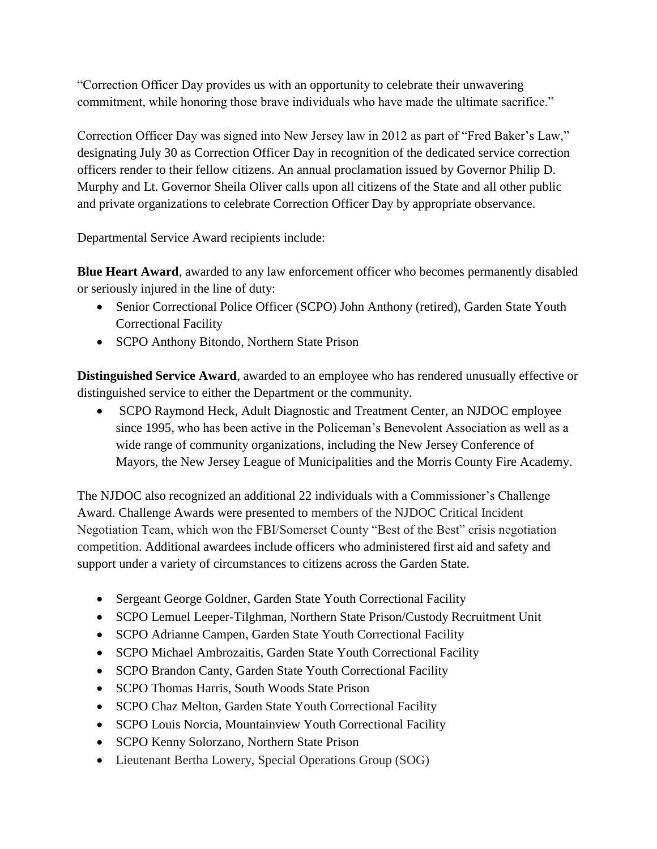"Correction Officer Day provides us with an opportunity to celebrate their unwavering commitment, while honoring those brave individuals who have made the ultimate sacrifice."

Correction Officer Day was signed into New Jersey law in 2012 as part of "Fred Baker's Law," designating July 30 as Correction Officer Day in recognition of the dedicated service correction officers render to their fellow citizens. An annual proclamation issued by Governor Philip D. Murphy and Lt. Governor Sheila Oliver calls upon all citizens of the State and all other public and private organizations to celebrate Correction Officer Day by appropriate observance.

Departmental Service Award recipients include:

**Blue Heart Award**, awarded to any law enforcement officer who becomes permanently disabled or seriously injured in the line of duty:

- Senior Correctional Police Officer (SCPO) John Anthony (retired), Garden State Youth Correctional Facility
- SCPO Anthony Bitondo, Northern State Prison

**Distinguished Service Award**, awarded to an employee who has rendered unusually effective or distinguished service to either the Department or the community.

 SCPO Raymond Heck, Adult Diagnostic and Treatment Center, an NJDOC employee since 1995, who has been active in the Policeman's Benevolent Association as well as a wide range of community organizations, including the New Jersey Conference of Mayors, the New Jersey League of Municipalities and the Morris County Fire Academy.

The NJDOC also recognized an additional 22 individuals with a Commissioner's Challenge Award. Challenge Awards were presented to members of the NJDOC Critical Incident Negotiation Team, which won the FBI/Somerset County "Best of the Best" crisis negotiation competition. Additional awardees include officers who administered first aid and safety and support under a variety of circumstances to citizens across the Garden State.

- Sergeant George Goldner, Garden State Youth Correctional Facility
- SCPO Lemuel Leeper-Tilghman, Northern State Prison/Custody Recruitment Unit
- SCPO Adrianne Campen, Garden State Youth Correctional Facility
- SCPO Michael Ambrozaitis, Garden State Youth Correctional Facility
- SCPO Brandon Canty, Garden State Youth Correctional Facility
- SCPO Thomas Harris, South Woods State Prison
- SCPO Chaz Melton, Garden State Youth Correctional Facility
- SCPO Louis Norcia, Mountainview Youth Correctional Facility
- SCPO Kenny Solorzano, Northern State Prison
- Lieutenant Bertha Lowery, Special Operations Group (SOG)